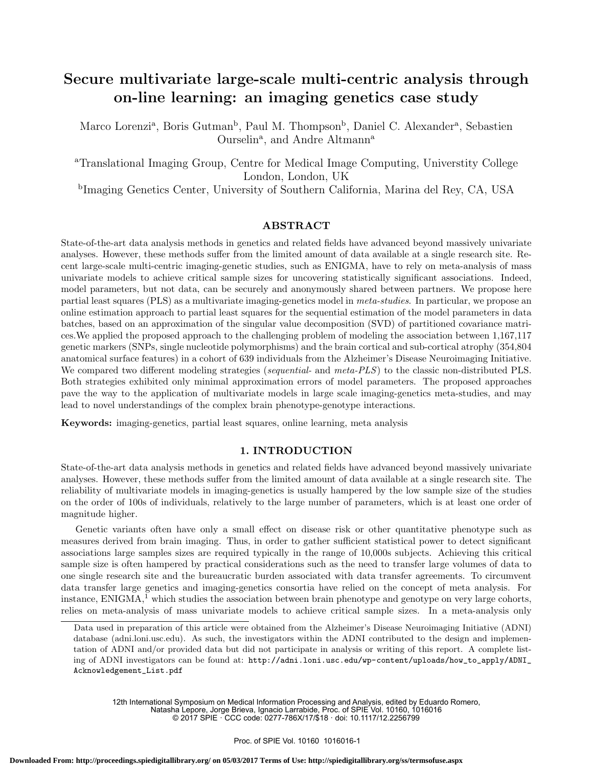# Secure multivariate large-scale multi-centric analysis through on-line learning: an imaging genetics case study

Marco Lorenzi<sup>a</sup>, Boris Gutman<sup>b</sup>, Paul M. Thompson<sup>b</sup>, Daniel C. Alexander<sup>a</sup>, Sebastien Ourselin<sup>a</sup>, and Andre Altmann<sup>a</sup>

<sup>a</sup>Translational Imaging Group, Centre for Medical Image Computing, Universtity College London, London, UK

b Imaging Genetics Center, University of Southern California, Marina del Rey, CA, USA

## ABSTRACT

State-of-the-art data analysis methods in genetics and related fields have advanced beyond massively univariate analyses. However, these methods suffer from the limited amount of data available at a single research site. Recent large-scale multi-centric imaging-genetic studies, such as ENIGMA, have to rely on meta-analysis of mass univariate models to achieve critical sample sizes for uncovering statistically significant associations. Indeed, model parameters, but not data, can be securely and anonymously shared between partners. We propose here partial least squares (PLS) as a multivariate imaging-genetics model in meta-studies. In particular, we propose an online estimation approach to partial least squares for the sequential estimation of the model parameters in data batches, based on an approximation of the singular value decomposition (SVD) of partitioned covariance matrices.We applied the proposed approach to the challenging problem of modeling the association between 1,167,117 genetic markers (SNPs, single nucleotide polymorphisms) and the brain cortical and sub-cortical atrophy (354,804 anatomical surface features) in a cohort of 639 individuals from the Alzheimer's Disease Neuroimaging Initiative. We compared two different modeling strategies (sequential- and meta-PLS) to the classic non-distributed PLS. Both strategies exhibited only minimal approximation errors of model parameters. The proposed approaches pave the way to the application of multivariate models in large scale imaging-genetics meta-studies, and may lead to novel understandings of the complex brain phenotype-genotype interactions.

Keywords: imaging-genetics, partial least squares, online learning, meta analysis

## 1. INTRODUCTION

State-of-the-art data analysis methods in genetics and related fields have advanced beyond massively univariate analyses. However, these methods suffer from the limited amount of data available at a single research site. The reliability of multivariate models in imaging-genetics is usually hampered by the low sample size of the studies on the order of 100s of individuals, relatively to the large number of parameters, which is at least one order of magnitude higher.

Genetic variants often have only a small effect on disease risk or other quantitative phenotype such as measures derived from brain imaging. Thus, in order to gather sufficient statistical power to detect significant associations large samples sizes are required typically in the range of 10,000s subjects. Achieving this critical sample size is often hampered by practical considerations such as the need to transfer large volumes of data to one single research site and the bureaucratic burden associated with data transfer agreements. To circumvent data transfer large genetics and imaging-genetics consortia have relied on the concept of meta analysis. For instance,  $ENIGMA<sup>1</sup>$ , which studies the association between brain phenotype and genotype on very large cohorts, relies on meta-analysis of mass univariate models to achieve critical sample sizes. In a meta-analysis only

12th International Symposium on Medical Information Processing and Analysis, edited by Eduardo Romero, Natasha Lepore, Jorge Brieva, Ignacio Larrabide, Proc. of SPIE Vol. 10160, 1016016 © 2017 SPIE · CCC code: 0277-786X/17/\$18 · doi: 10.1117/12.2256799

Data used in preparation of this article were obtained from the Alzheimer's Disease Neuroimaging Initiative (ADNI) database (adni.loni.usc.edu). As such, the investigators within the ADNI contributed to the design and implementation of ADNI and/or provided data but did not participate in analysis or writing of this report. A complete listing of ADNI investigators can be found at: http://adni.loni.usc.edu/wp-content/uploads/how\_to\_apply/ADNI\_ Acknowledgement\_List.pdf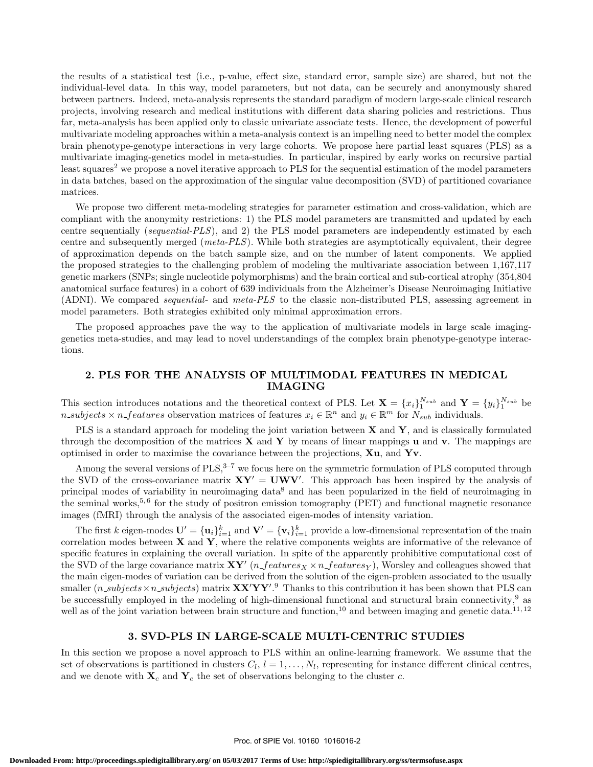the results of a statistical test (i.e., p-value, effect size, standard error, sample size) are shared, but not the individual-level data. In this way, model parameters, but not data, can be securely and anonymously shared between partners. Indeed, meta-analysis represents the standard paradigm of modern large-scale clinical research projects, involving research and medical institutions with different data sharing policies and restrictions. Thus far, meta-analysis has been applied only to classic univariate associate tests. Hence, the development of powerful multivariate modeling approaches within a meta-analysis context is an impelling need to better model the complex brain phenotype-genotype interactions in very large cohorts. We propose here partial least squares (PLS) as a multivariate imaging-genetics model in meta-studies. In particular, inspired by early works on recursive partial least squares<sup>2</sup> we propose a novel iterative approach to PLS for the sequential estimation of the model parameters in data batches, based on the approximation of the singular value decomposition (SVD) of partitioned covariance matrices.

We propose two different meta-modeling strategies for parameter estimation and cross-validation, which are compliant with the anonymity restrictions: 1) the PLS model parameters are transmitted and updated by each centre sequentially (sequential-PLS), and 2) the PLS model parameters are independently estimated by each centre and subsequently merged (meta-PLS). While both strategies are asymptotically equivalent, their degree of approximation depends on the batch sample size, and on the number of latent components. We applied the proposed strategies to the challenging problem of modeling the multivariate association between 1,167,117 genetic markers (SNPs; single nucleotide polymorphisms) and the brain cortical and sub-cortical atrophy (354,804 anatomical surface features) in a cohort of 639 individuals from the Alzheimer's Disease Neuroimaging Initiative (ADNI). We compared sequential- and meta-PLS to the classic non-distributed PLS, assessing agreement in model parameters. Both strategies exhibited only minimal approximation errors.

The proposed approaches pave the way to the application of multivariate models in large scale imaginggenetics meta-studies, and may lead to novel understandings of the complex brain phenotype-genotype interactions.

# 2. PLS FOR THE ANALYSIS OF MULTIMODAL FEATURES IN MEDICAL IMAGING

This section introduces notations and the theoretical context of PLS. Let  $\mathbf{X} = \{x_i\}_1^{N_{sub}}$  and  $\mathbf{Y} = \{y_i\}_1^{N_{sub}}$  be *n\_subjects*  $\times$  *n\_features* observation matrices of features  $x_i \in \mathbb{R}^n$  and  $y_i \in \mathbb{R}^m$  for  $N_{sub}$  individuals.

PLS is a standard approach for modeling the joint variation between  $X$  and  $Y$ , and is classically formulated through the decomposition of the matrices  $X$  and  $Y$  by means of linear mappings u and v. The mappings are optimised in order to maximise the covariance between the projections,  $Xu$ , and  $Yv$ .

Among the several versions of  $PLS$ ,  $3-7$  we focus here on the symmetric formulation of PLS computed through the SVD of the cross-covariance matrix  $XY' = UWV'$ . This approach has been inspired by the analysis of principal modes of variability in neuroimaging data<sup>8</sup> and has been popularized in the field of neuroimaging in the seminal works,<sup>5,6</sup> for the study of positron emission tomography (PET) and functional magnetic resonance images (fMRI) through the analysis of the associated eigen-modes of intensity variation.

The first k eigen-modes  $\mathbf{U}' = {\mathbf{u}_i}_{i=1}^k$  and  $\mathbf{V}' = {\mathbf{v}_i}_{i=1}^k$  provide a low-dimensional representation of the main correlation modes between  $X$  and  $Y$ , where the relative components weights are informative of the relevance of specific features in explaining the overall variation. In spite of the apparently prohibitive computational cost of the SVD of the large covariance matrix  $XY'(n_f$ features $_X \times n_f$  features $_Y$ ), Worsley and colleagues showed that the main eigen-modes of variation can be derived from the solution of the eigen-problem associated to the usually smaller  $(n\_subjects \times n\_subjects)$  matrix  $\mathbf{XX'YY'}$ .<sup>9</sup> Thanks to this contribution it has been shown that PLS can be successfully employed in the modeling of high-dimensional functional and structural brain connectivity,<sup>9</sup> as well as of the joint variation between brain structure and function,<sup>10</sup> and between imaging and genetic data.<sup>11,12</sup>

#### 3. SVD-PLS IN LARGE-SCALE MULTI-CENTRIC STUDIES

In this section we propose a novel approach to PLS within an online-learning framework. We assume that the set of observations is partitioned in clusters  $C_l$ ,  $l = 1, \ldots, N_l$ , representing for instance different clinical centres, and we denote with  $\mathbf{X}_c$  and  $\mathbf{Y}_c$  the set of observations belonging to the cluster c.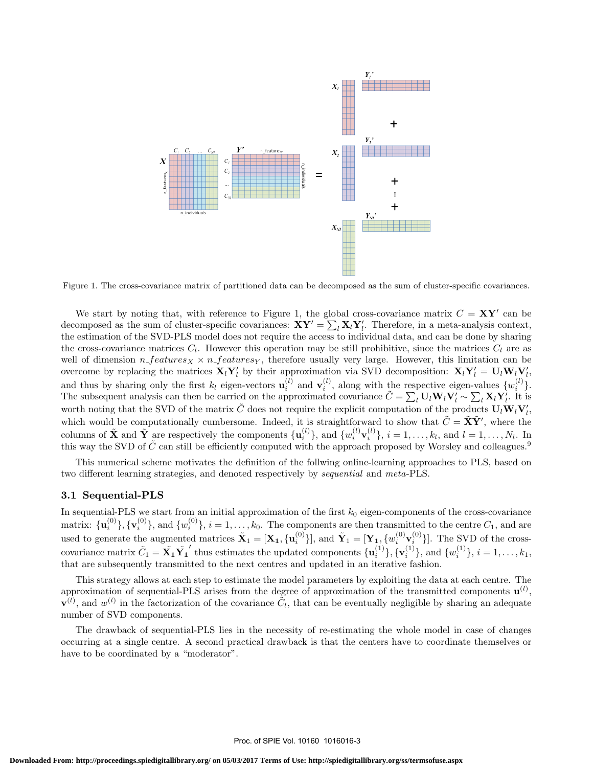

Figure 1. The cross-covariance matrix of partitioned data can be decomposed as the sum of cluster-specific covariances.

We start by noting that, with reference to Figure 1, the global cross-covariance matrix  $C = XY'$  can be decomposed as the sum of cluster-specific covariances:  $XY' = \sum_l X_l Y_l'$ . Therefore, in a meta-analysis context, the estimation of the SVD-PLS model does not require the access to individual data, and can be done by sharing the cross-covariance matrices  $C_l$ . However this operation may be still prohibitive, since the matrices  $C_l$  are as well of dimension  $n_f$ eatures $\chi \times n_f$  features $\chi$ , therefore usually very large. However, this limitation can be overcome by replacing the matrices  $\mathbf{X}_l \mathbf{Y}_l'$  by their approximation via SVD decomposition:  $\mathbf{X}_l \mathbf{Y}_l' = \mathbf{U}_l \mathbf{W}_l \mathbf{V}_l'$ , and thus by sharing only the first  $k_l$  eigen-vectors  $\mathbf{u}_i^{(l)}$  and  $\mathbf{v}_i^{(l)}$ , along with the respective eigen-values  $\{w_i^{(l)}\}$ . The subsequent analysis can then be carried on the approximated covariance  $\tilde{C} = \sum_l \mathbf{U}_l \mathbf{W}_l \mathbf{V}_l' \sim \sum_l \mathbf{X}_l \mathbf{Y}_l'$ . It is worth noting that the SVD of the matrix  $\tilde{C}$  does not require the explicit computation of the products  $\mathbf{U}_l \mathbf{W}_l \mathbf{V}'_l$ , which would be computationally cumbersome. Indeed, it is straightforward to show that  $\tilde{C} = \tilde{\mathbf{X}} \tilde{\mathbf{Y}}'$ , where the columns of  $\tilde{\mathbf{X}}$  and  $\tilde{\mathbf{Y}}$  are respectively the components  $\{\mathbf{u}_i^{(l)}\}$ , and  $\{w_i^{(l)}\mathbf{v}_i^{(l)}\}$ ,  $i = 1, \ldots, k_l$ , and  $l = 1, \ldots, N_l$ . In this way the SVD of  $\tilde{C}$  can still be efficiently computed with the approach proposed by Worsley and colleagues.<sup>9</sup>

This numerical scheme motivates the definition of the follwing online-learning approaches to PLS, based on two different learning strategies, and denoted respectively by sequential and meta-PLS.

#### 3.1 Sequential-PLS

In sequential-PLS we start from an initial approximation of the first  $k_0$  eigen-components of the cross-covariance matrix:  $\{ {\bf u}_i^{(0)} \}, \{ {\bf v}_i^{(0)} \},$  and  $\{ w_i^{(0)} \}, i = 1, \ldots, k_0$ . The components are then transmitted to the centre  $C_1$ , and are used to generate the augmented matrices  $\tilde{\mathbf{X}}_1 = [\mathbf{X}_1, \{\mathbf{u}_i^{(0)}\}],$  and  $\tilde{\mathbf{Y}}_1 = [\mathbf{Y}_1, \{w_i^{(0)}\mathbf{v}_i^{(0)}\}].$  The SVD of the crosscovariance matrix  $\tilde{C}_1 = \tilde{\mathbf{X}_1} \tilde{\mathbf{Y}_1}$ thus estimates the updated components  $\{u_i^{(1)}\}, \{v_i^{(1)}\}, \text{and } \{w_i^{(1)}\}, i = 1, \ldots, k_1,$ that are subsequently transmitted to the next centres and updated in an iterative fashion.

This strategy allows at each step to estimate the model parameters by exploiting the data at each centre. The approximation of sequential-PLS arises from the degree of approximation of the transmitted components  $\mathbf{u}^{(l)}$ ,  $\tilde{V}^{(l)}$ , and  $w^{(l)}$  in the factorization of the covariance  $\tilde{C}_l$ , that can be eventually negligible by sharing an adequate number of SVD components.

The drawback of sequential-PLS lies in the necessity of re-estimating the whole model in case of changes occurring at a single centre. A second practical drawback is that the centers have to coordinate themselves or have to be coordinated by a "moderator".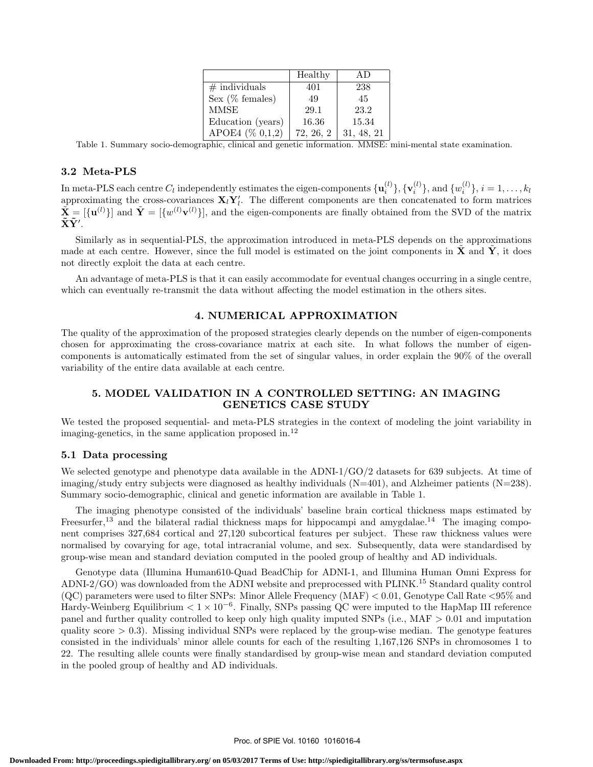|                   | Healthy   | AD.        |
|-------------------|-----------|------------|
| $#$ individuals   | 401       | 238        |
| Sex (% females)   | 49        | 45         |
| <b>MMSE</b>       | 29.1      | 23.2       |
| Education (years) | 16.36     | 15.34      |
| APOE4 (% 0,1,2)   | 72, 26, 2 | 31, 48, 21 |

Table 1. Summary socio-demographic, clinical and genetic information. MMSE: mini-mental state examination.

#### 3.2 Meta-PLS

In meta-PLS each centre  $C_l$  independently estimates the eigen-components  $\{\mathbf{u}_i^{(l)}\}, \{\mathbf{v}_i^{(l)}\},$  and  $\{w_i^{(l)}\}, i=1,\ldots,k_l$ approximating the cross-covariances  $X_i Y'_i$ . The different components are then concatenated to form matrices  $\tilde{\mathbf{X}} = [\{\mathbf{u}^{(l)}\}]$  and  $\tilde{\mathbf{Y}} = [\{w^{(l)}\mathbf{v}^{(l)}\}]$ , and the eigen-components are finally obtained from the SVD of the matrix  $\mathbf{\tilde{X}\tilde{Y}'}$  .

Similarly as in sequential-PLS, the approximation introduced in meta-PLS depends on the approximations made at each centre. However, since the full model is estimated on the joint components in  $\tilde{\mathbf{X}}$  and  $\tilde{\mathbf{Y}}$ , it does not directly exploit the data at each centre.

An advantage of meta-PLS is that it can easily accommodate for eventual changes occurring in a single centre, which can eventually re-transmit the data without affecting the model estimation in the others sites.

## 4. NUMERICAL APPROXIMATION

The quality of the approximation of the proposed strategies clearly depends on the number of eigen-components chosen for approximating the cross-covariance matrix at each site. In what follows the number of eigencomponents is automatically estimated from the set of singular values, in order explain the 90% of the overall variability of the entire data available at each centre.

# 5. MODEL VALIDATION IN A CONTROLLED SETTING: AN IMAGING GENETICS CASE STUDY

We tested the proposed sequential- and meta-PLS strategies in the context of modeling the joint variability in imaging-genetics, in the same application proposed in.<sup>12</sup>

#### 5.1 Data processing

We selected genotype and phenotype data available in the ADNI-1/GO/2 datasets for 639 subjects. At time of imaging/study entry subjects were diagnosed as healthy individuals (N=401), and Alzheimer patients (N=238). Summary socio-demographic, clinical and genetic information are available in Table 1.

The imaging phenotype consisted of the individuals' baseline brain cortical thickness maps estimated by Freesurfer,<sup>13</sup> and the bilateral radial thickness maps for hippocampi and amygdalae.<sup>14</sup> The imaging component comprises 327,684 cortical and 27,120 subcortical features per subject. These raw thickness values were normalised by covarying for age, total intracranial volume, and sex. Subsequently, data were standardised by group-wise mean and standard deviation computed in the pooled group of healthy and AD individuals.

Genotype data (Illumina Human610-Quad BeadChip for ADNI-1, and Illumina Human Omni Express for ADNI-2/GO) was downloaded from the ADNI website and preprocessed with PLINK.<sup>15</sup> Standard quality control (QC) parameters were used to filter SNPs: Minor Allele Frequency (MAF) < 0.01, Genotype Call Rate <95% and Hardy-Weinberg Equilibrium  $< 1 \times 10^{-6}$ . Finally, SNPs passing QC were imputed to the HapMap III reference panel and further quality controlled to keep only high quality imputed SNPs (i.e., MAF > 0.01 and imputation quality score  $> 0.3$ ). Missing individual SNPs were replaced by the group-wise median. The genotype features consisted in the individuals' minor allele counts for each of the resulting 1,167,126 SNPs in chromosomes 1 to 22. The resulting allele counts were finally standardised by group-wise mean and standard deviation computed in the pooled group of healthy and AD individuals.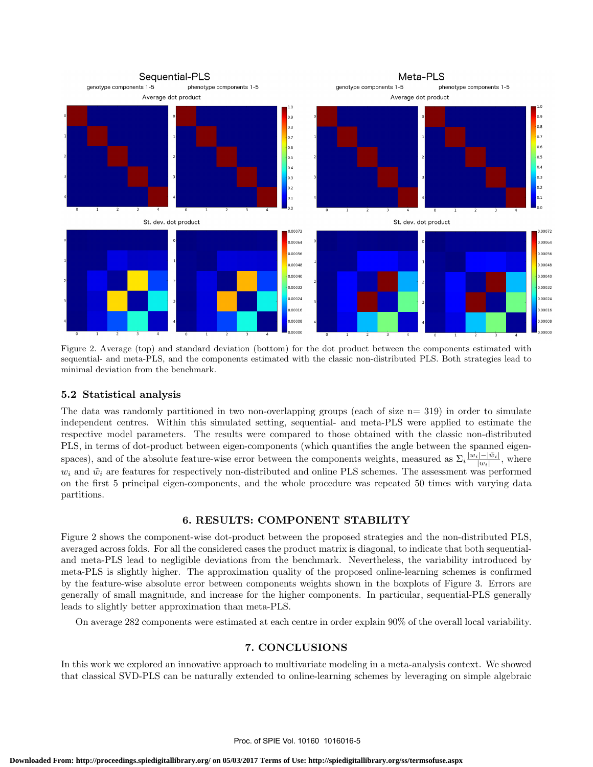

Figure 2. Average (top) and standard deviation (bottom) for the dot product between the components estimated with sequential- and meta-PLS, and the components estimated with the classic non-distributed PLS. Both strategies lead to minimal deviation from the benchmark.

# 5.2 Statistical analysis

The data was randomly partitioned in two non-overlapping groups (each of size n= 319) in order to simulate independent centres. Within this simulated setting, sequential- and meta-PLS were applied to estimate the respective model parameters. The results were compared to those obtained with the classic non-distributed PLS, in terms of dot-product between eigen-components (which quantifies the angle between the spanned eigenspaces), and of the absolute feature-wise error between the components weights, measured as  $\Sigma_i \frac{|w_i| - |\tilde{w}_i|}{|w_i|}$  $\frac{|v_i| - |w_i|}{|w_i|}$ , where  $w_i$  and  $\tilde{w}_i$  are features for respectively non-distributed and online PLS schemes. The assessment was performed on the first 5 principal eigen-components, and the whole procedure was repeated 50 times with varying data partitions.

# 6. RESULTS: COMPONENT STABILITY

Figure 2 shows the component-wise dot-product between the proposed strategies and the non-distributed PLS, averaged across folds. For all the considered cases the product matrix is diagonal, to indicate that both sequentialand meta-PLS lead to negligible deviations from the benchmark. Nevertheless, the variability introduced by meta-PLS is slightly higher. The approximation quality of the proposed online-learning schemes is confirmed by the feature-wise absolute error between components weights shown in the boxplots of Figure 3. Errors are generally of small magnitude, and increase for the higher components. In particular, sequential-PLS generally leads to slightly better approximation than meta-PLS.

On average 282 components were estimated at each centre in order explain 90% of the overall local variability.

# 7. CONCLUSIONS

In this work we explored an innovative approach to multivariate modeling in a meta-analysis context. We showed that classical SVD-PLS can be naturally extended to online-learning schemes by leveraging on simple algebraic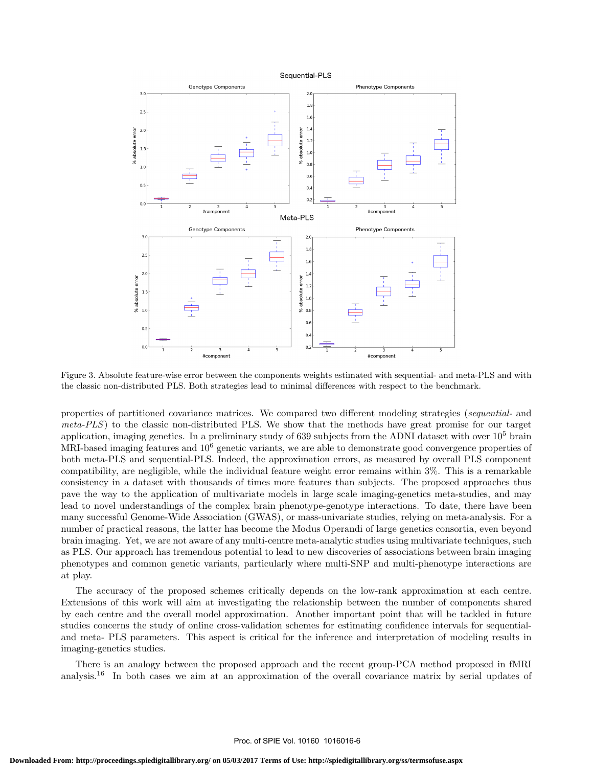

Figure 3. Absolute feature-wise error between the components weights estimated with sequential- and meta-PLS and with the classic non-distributed PLS. Both strategies lead to minimal differences with respect to the benchmark.

properties of partitioned covariance matrices. We compared two different modeling strategies (sequential- and meta-PLS) to the classic non-distributed PLS. We show that the methods have great promise for our target application, imaging genetics. In a preliminary study of 639 subjects from the ADNI dataset with over  $10^5$  brain MRI-based imaging features and  $10^6$  genetic variants, we are able to demonstrate good convergence properties of both meta-PLS and sequential-PLS. Indeed, the approximation errors, as measured by overall PLS component compatibility, are negligible, while the individual feature weight error remains within 3%. This is a remarkable consistency in a dataset with thousands of times more features than subjects. The proposed approaches thus pave the way to the application of multivariate models in large scale imaging-genetics meta-studies, and may lead to novel understandings of the complex brain phenotype-genotype interactions. To date, there have been many successful Genome-Wide Association (GWAS), or mass-univariate studies, relying on meta-analysis. For a number of practical reasons, the latter has become the Modus Operandi of large genetics consortia, even beyond brain imaging. Yet, we are not aware of any multi-centre meta-analytic studies using multivariate techniques, such as PLS. Our approach has tremendous potential to lead to new discoveries of associations between brain imaging phenotypes and common genetic variants, particularly where multi-SNP and multi-phenotype interactions are at play.

The accuracy of the proposed schemes critically depends on the low-rank approximation at each centre. Extensions of this work will aim at investigating the relationship between the number of components shared by each centre and the overall model approximation. Another important point that will be tackled in future studies concerns the study of online cross-validation schemes for estimating confidence intervals for sequentialand meta- PLS parameters. This aspect is critical for the inference and interpretation of modeling results in imaging-genetics studies.

There is an analogy between the proposed approach and the recent group-PCA method proposed in fMRI analysis.<sup>16</sup> In both cases we aim at an approximation of the overall covariance matrix by serial updates of